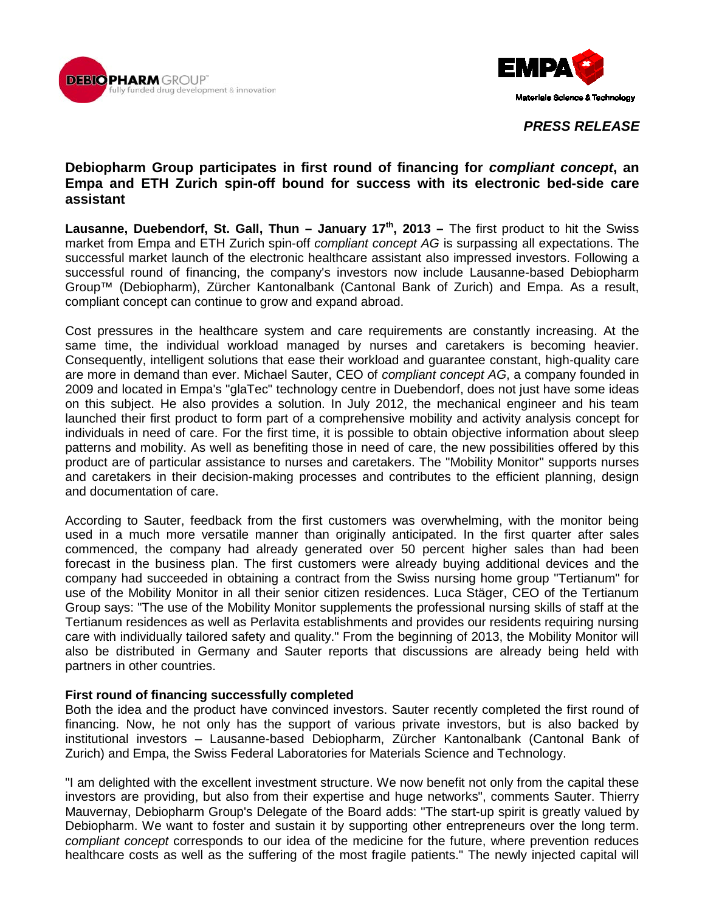



## *PRESS RELEASE*

# **Debiopharm Group participates in first round of financing for** *compliant concept***, an Empa and ETH Zurich spin-off bound for success with its electronic bed-side care assistant**

**Lausanne, Duebendorf, St. Gall, Thun – January 17<sup>th</sup>, 2013 – The first product to hit the Swiss** market from Empa and ETH Zurich spin-off *compliant concept AG* is surpassing all expectations. The successful market launch of the electronic healthcare assistant also impressed investors. Following a successful round of financing, the company's investors now include Lausanne-based Debiopharm Group™ (Debiopharm), Zürcher Kantonalbank (Cantonal Bank of Zurich) and Empa. As a result, compliant concept can continue to grow and expand abroad.

Cost pressures in the healthcare system and care requirements are constantly increasing. At the same time, the individual workload managed by nurses and caretakers is becoming heavier. Consequently, intelligent solutions that ease their workload and guarantee constant, high-quality care are more in demand than ever. Michael Sauter, CEO of *compliant concept AG*, a company founded in 2009 and located in Empa's "glaTec" technology centre in Duebendorf, does not just have some ideas on this subject. He also provides a solution. In July 2012, the mechanical engineer and his team launched their first product to form part of a comprehensive mobility and activity analysis concept for individuals in need of care. For the first time, it is possible to obtain objective information about sleep patterns and mobility. As well as benefiting those in need of care, the new possibilities offered by this product are of particular assistance to nurses and caretakers. The "Mobility Monitor" supports nurses and caretakers in their decision-making processes and contributes to the efficient planning, design and documentation of care.

According to Sauter, feedback from the first customers was overwhelming, with the monitor being used in a much more versatile manner than originally anticipated. In the first quarter after sales commenced, the company had already generated over 50 percent higher sales than had been forecast in the business plan. The first customers were already buying additional devices and the company had succeeded in obtaining a contract from the Swiss nursing home group "Tertianum" for use of the Mobility Monitor in all their senior citizen residences. Luca Stäger, CEO of the Tertianum Group says: "The use of the Mobility Monitor supplements the professional nursing skills of staff at the Tertianum residences as well as Perlavita establishments and provides our residents requiring nursing care with individually tailored safety and quality." From the beginning of 2013, the Mobility Monitor will also be distributed in Germany and Sauter reports that discussions are already being held with partners in other countries.

### **First round of financing successfully completed**

Both the idea and the product have convinced investors. Sauter recently completed the first round of financing. Now, he not only has the support of various private investors, but is also backed by institutional investors – Lausanne-based Debiopharm, Zürcher Kantonalbank (Cantonal Bank of Zurich) and Empa, the Swiss Federal Laboratories for Materials Science and Technology.

"I am delighted with the excellent investment structure. We now benefit not only from the capital these investors are providing, but also from their expertise and huge networks", comments Sauter. Thierry Mauvernay, Debiopharm Group's Delegate of the Board adds: "The start-up spirit is greatly valued by Debiopharm. We want to foster and sustain it by supporting other entrepreneurs over the long term. *compliant concept* corresponds to our idea of the medicine for the future, where prevention reduces healthcare costs as well as the suffering of the most fragile patients." The newly injected capital will